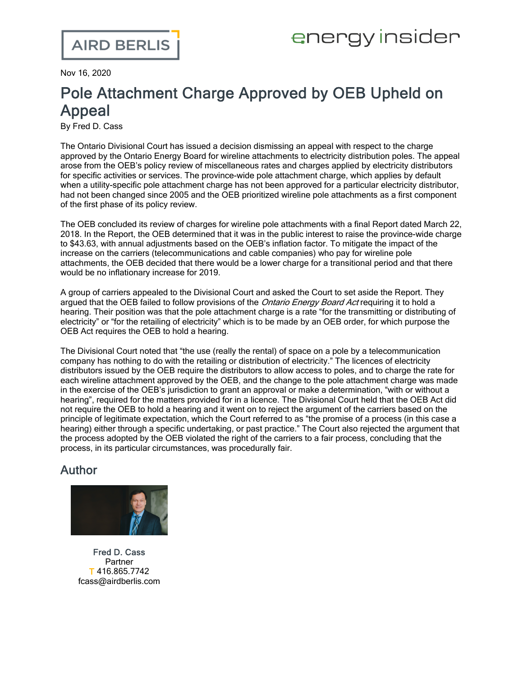Nov 16, 2020

## Pole Attachment Charge Approved by OEB Upheld on Appeal

By Fred D. Cass

The Ontario Divisional Court has issued a [decision](https://www.canlii.org/en/on/onscdc/doc/2020/2020onsc6549/2020onsc6549.html) dismissing an appeal with respect to the charge approved by the Ontario Energy Board for wireline attachments to electricity distribution poles. The appeal arose from the OEB's policy review of miscellaneous rates and charges applied by electricity distributors for specific activities or services. The province-wide pole attachment charge, which applies by default when a utility-specific pole attachment charge has not been approved for a particular electricity distributor, had not been changed since 2005 and the OEB prioritized wireline pole attachments as a first component of the first phase of its policy review.

The OEB concluded its review of charges for wireline pole attachments with a final Report dated March 22, 2018. In the Report, the OEB determined that it was in the public interest to raise the province-wide charge to \$43.63, with annual adjustments based on the OEB's inflation factor. To mitigate the impact of the increase on the carriers (telecommunications and cable companies) who pay for wireline pole attachments, the OEB decided that there would be a lower charge for a transitional period and that there would be no inflationary increase for 2019.

A group of carriers appealed to the Divisional Court and asked the Court to set aside the Report. They argued that the OEB failed to follow provisions of the *Ontario Energy Board Act* requiring it to hold a hearing. Their position was that the pole attachment charge is a rate "for the transmitting or distributing of electricity" or "for the retailing of electricity" which is to be made by an OEB order, for which purpose the OEB Act requires the OEB to hold a hearing.

The Divisional Court noted that "the use (really the rental) of space on a pole by a telecommunication company has nothing to do with the retailing or distribution of electricity." The licences of electricity distributors issued by the OEB require the distributors to allow access to poles, and to charge the rate for each wireline attachment approved by the OEB, and the change to the pole attachment charge was made in the exercise of the OEB's jurisdiction to grant an approval or make a determination, "with or without a hearing", required for the matters provided for in a licence. The Divisional Court held that the OEB Act did not require the OEB to hold a hearing and it went on to reject the argument of the carriers based on the principle of legitimate expectation, which the Court referred to as "the promise of a process (in this case a hearing) either through a specific undertaking, or past practice." The Court also rejected the argument that the process adopted by the OEB violated the right of the carriers to a fair process, concluding that the process, in its particular circumstances, was procedurally fair.

## Author



Fred D. [Cass](https://www.airdberlis.com/people/bio/fred-d-cass) **Partner** T 416.865.7742 fcass@airdberlis.com